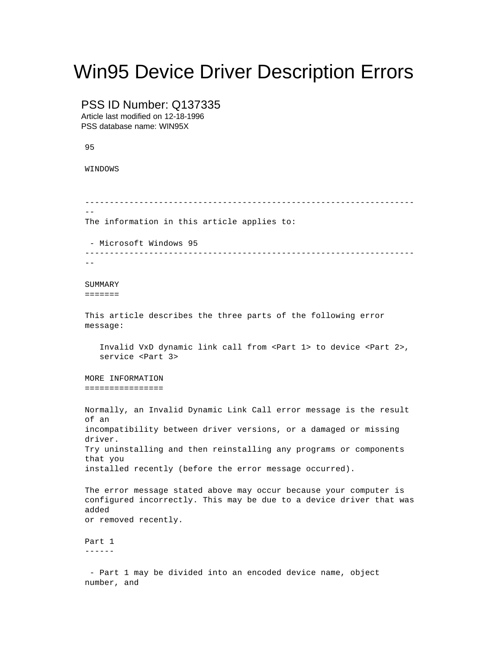## Win95 Device Driver Description Errors

PSS ID Number: Q137335 Article last modified on 12-18-1996 PSS database name: WIN95X 95 WINDOWS ------------------------------------------------------------------- -- The information in this article applies to: - Microsoft Windows 95 -------------------------------------------------------------------  $-$ SUMMARY ======= This article describes the three parts of the following error message: Invalid VxD dynamic link call from <Part 1> to device <Part 2>, service <Part 3> MORE INFORMATION ================ Normally, an Invalid Dynamic Link Call error message is the result of an incompatibility between driver versions, or a damaged or missing driver. Try uninstalling and then reinstalling any programs or components that you installed recently (before the error message occurred). The error message stated above may occur because your computer is configured incorrectly. This may be due to a device driver that was added or removed recently. Part 1 ------ - Part 1 may be divided into an encoded device name, object number, and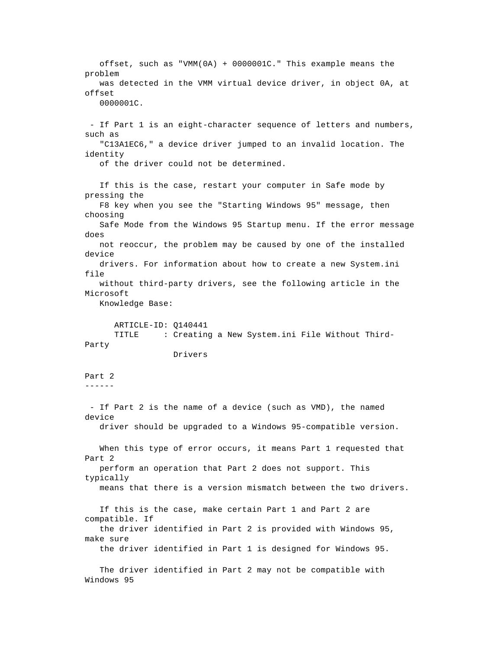offset, such as "VMM(0A) + 0000001C." This example means the problem was detected in the VMM virtual device driver, in object 0A, at offset 0000001C. - If Part 1 is an eight-character sequence of letters and numbers, such as "C13A1EC6," a device driver jumped to an invalid location. The identity of the driver could not be determined. If this is the case, restart your computer in Safe mode by pressing the F8 key when you see the "Starting Windows 95" message, then choosing Safe Mode from the Windows 95 Startup menu. If the error message does not reoccur, the problem may be caused by one of the installed device drivers. For information about how to create a new System.ini file without third-party drivers, see the following article in the Microsoft Knowledge Base: ARTICLE-ID: Q140441 TITLE : Creating a New System.ini File Without Third-Party Drivers Part 2 ------ - If Part 2 is the name of a device (such as VMD), the named device driver should be upgraded to a Windows 95-compatible version. When this type of error occurs, it means Part 1 requested that Part 2 perform an operation that Part 2 does not support. This typically means that there is a version mismatch between the two drivers. If this is the case, make certain Part 1 and Part 2 are compatible. If the driver identified in Part 2 is provided with Windows 95, make sure the driver identified in Part 1 is designed for Windows 95. The driver identified in Part 2 may not be compatible with Windows 95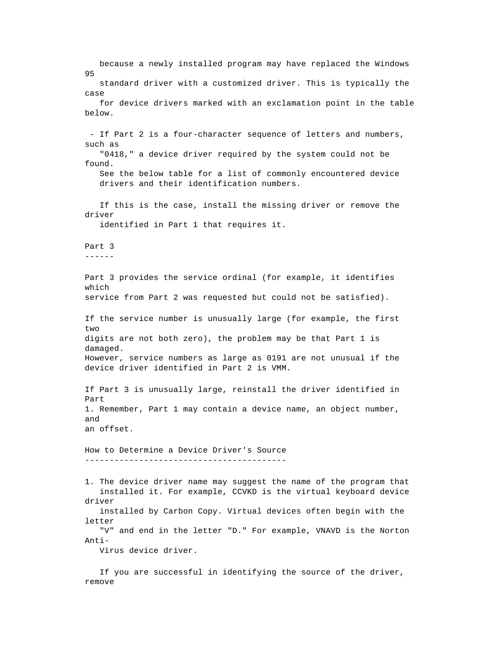because a newly installed program may have replaced the Windows 95 standard driver with a customized driver. This is typically the case for device drivers marked with an exclamation point in the table below. - If Part 2 is a four-character sequence of letters and numbers, such as "0418," a device driver required by the system could not be found. See the below table for a list of commonly encountered device drivers and their identification numbers. If this is the case, install the missing driver or remove the driver identified in Part 1 that requires it. Part 3 ------ Part 3 provides the service ordinal (for example, it identifies which service from Part 2 was requested but could not be satisfied). If the service number is unusually large (for example, the first two digits are not both zero), the problem may be that Part 1 is damaged. However, service numbers as large as 0191 are not unusual if the device driver identified in Part 2 is VMM. If Part 3 is unusually large, reinstall the driver identified in Part 1. Remember, Part 1 may contain a device name, an object number, and an offset. How to Determine a Device Driver's Source ----------------------------------------- 1. The device driver name may suggest the name of the program that installed it. For example, CCVKD is the virtual keyboard device driver installed by Carbon Copy. Virtual devices often begin with the letter "V" and end in the letter "D." For example, VNAVD is the Norton Anti- Virus device driver.

 If you are successful in identifying the source of the driver, remove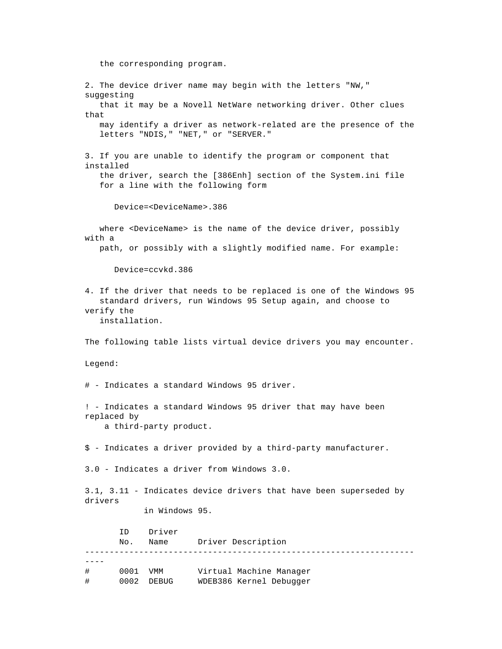the corresponding program. 2. The device driver name may begin with the letters "NW," suggesting that it may be a Novell NetWare networking driver. Other clues that may identify a driver as network-related are the presence of the letters "NDIS," "NET," or "SERVER." 3. If you are unable to identify the program or component that installed the driver, search the [386Enh] section of the System.ini file for a line with the following form Device=<DeviceName>.386 where <DeviceName> is the name of the device driver, possibly with a path, or possibly with a slightly modified name. For example: Device=ccvkd.386 4. If the driver that needs to be replaced is one of the Windows 95 standard drivers, run Windows 95 Setup again, and choose to verify the installation. The following table lists virtual device drivers you may encounter. Legend: # - Indicates a standard Windows 95 driver. ! - Indicates a standard Windows 95 driver that may have been replaced by a third-party product. \$ - Indicates a driver provided by a third-party manufacturer. 3.0 - Indicates a driver from Windows 3.0. 3.1, 3.11 - Indicates device drivers that have been superseded by drivers in Windows 95. ID Driver No. Name Driver Description ------------------------------------------------------------------- ---- # 0001 VMM Virtual Machine Manager # 0002 DEBUG WDEB386 Kernel Debugger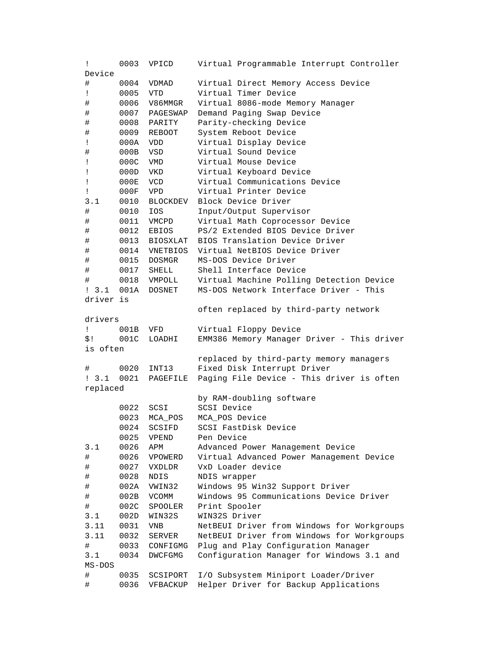| Ţ                   | 0003         | VPICD                  | Virtual Programmable Interrupt Controller                                     |
|---------------------|--------------|------------------------|-------------------------------------------------------------------------------|
| Device              |              |                        |                                                                               |
| #                   | 0004         | VDMAD                  | Virtual Direct Memory Access Device                                           |
| Ţ                   | 0005         | VTD                    | Virtual Timer Device                                                          |
| #                   | 0006         | V86MMGR                | Virtual 8086-mode Memory Manager                                              |
| #                   | 0007         | PAGESWAP               | Demand Paging Swap Device                                                     |
| #                   | 0008         | PARITY                 | Parity-checking Device                                                        |
| #                   | 0009         | REBOOT                 | System Reboot Device                                                          |
| Ţ                   | 000A         | <b>VDD</b>             | Virtual Display Device                                                        |
| #                   | 000B         | VSD                    | Virtual Sound Device                                                          |
| Ţ                   | 000C         | VMD                    | Virtual Mouse Device                                                          |
| Ţ                   | 000D         | VKD                    | Virtual Keyboard Device                                                       |
| Ţ                   | 000E         | <b>VCD</b>             | Virtual Communications Device                                                 |
| Ţ                   | 000F         | VPD                    | Virtual Printer Device                                                        |
| 3.1                 | 0010         | BLOCKDEV               | Block Device Driver                                                           |
| #                   | 0010         | IOS                    | Input/Output Supervisor                                                       |
| #                   | 0011         | VMCPD                  | Virtual Math Coprocessor Device                                               |
|                     | 0012         |                        | PS/2 Extended BIOS Device Driver                                              |
| #                   |              | EBIOS                  | BIOS Translation Device Driver                                                |
| #                   | 0013         | BIOSXLAT               |                                                                               |
| #                   | 0014         | VNETBIOS               | Virtual NetBIOS Device Driver                                                 |
| #                   | 0015         | DOSMGR                 | MS-DOS Device Driver                                                          |
| #                   |              | 0017 SHELL             | Shell Interface Device                                                        |
| #                   | 0018         | VMPOLL                 | Virtual Machine Polling Detection Device                                      |
| : 3.1 001A          |              | DOSNET                 | MS-DOS Network Interface Driver - This                                        |
| driver is           |              |                        |                                                                               |
|                     |              |                        | often replaced by third-party network                                         |
| drivers             |              |                        |                                                                               |
| Ţ.                  | 001B         | VFD                    | Virtual Floppy Device                                                         |
| \$!                 | 001C         | LOADHI                 | EMM386 Memory Manager Driver - This driver                                    |
| is often            |              |                        |                                                                               |
|                     |              |                        | replaced by third-party memory managers                                       |
| #                   | 0020         | INT13                  | Fixed Disk Interrupt Driver                                                   |
| $1 \quad 3 \quad 1$ | 0021         | PAGEFILE               | Paging File Device - This driver is often                                     |
| replaced            |              |                        |                                                                               |
|                     |              |                        | by RAM-doubling software                                                      |
|                     | 0022         | SCSI                   | SCSI Device                                                                   |
|                     |              |                        |                                                                               |
|                     | 0023         | MCA POS                | MCA POS Device                                                                |
|                     | 0024         | SCSIFD                 | SCSI FastDisk Device                                                          |
|                     | 0025         | VPEND                  | Pen Device                                                                    |
| 3.1                 | 0026         | APM                    | Advanced Power Management Device                                              |
| #                   | 0026         | VPOWERD                | Virtual Advanced Power Management Device                                      |
| #                   | 0027         | VXDLDR                 | VxD Loader device                                                             |
|                     | 0028         | <b>NDIS</b>            |                                                                               |
| #                   |              |                        | NDIS wrapper                                                                  |
| #                   | 002A         | VWIN32<br><b>VCOMM</b> | Windows 95 Win32 Support Driver                                               |
| #                   | 002B         |                        | Windows 95 Communications Device Driver                                       |
| #<br>3.1            | 002C<br>002D | SPOOLER<br>WIN32S      | Print Spooler<br>WIN32S Driver                                                |
| 3.11                |              |                        |                                                                               |
|                     | 0031         | <b>VNB</b>             | NetBEUI Driver from Windows for Workgroups                                    |
| 3.11                | 0032         | SERVER                 | NetBEUI Driver from Windows for Workgroups                                    |
| #                   | 0033         | CONFIGMG               | Plug and Play Configuration Manager                                           |
| 3.1                 | 0034         | DWCFGMG                | Configuration Manager for Windows 3.1 and                                     |
| $MS-DOS$            |              |                        |                                                                               |
| #<br>#              | 0035<br>0036 | SCSIPORT<br>VFBACKUP   | I/O Subsystem Miniport Loader/Driver<br>Helper Driver for Backup Applications |